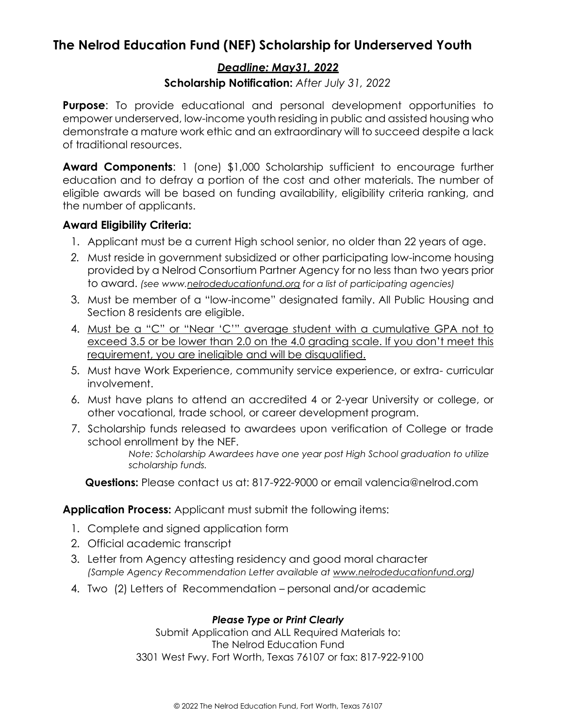# **The Nelrod Education Fund (NEF) Scholarship for Underserved Youth**

### *Deadline: May31, 2022*

### **Scholarship Notification:** *After July 31, 2022*

**Purpose**: To provide educational and personal development opportunities to empower underserved, low-income youth residing in public and assisted housing who demonstrate a mature work ethic and an extraordinary will to succeed despite a lack of traditional resources.

**Award Components**: 1 (one) \$1,000 Scholarship sufficient to encourage further education and to defray a portion of the cost and other materials. The number of eligible awards will be based on funding availability, eligibility criteria ranking, and the number of applicants.

### **Award Eligibility Criteria:**

- 1. Applicant must be a current High school senior, no older than 22 years of age.
- *2.* Must reside in government subsidized or other participating low-income housing provided by a Nelrod Consortium Partner Agency for no less than two years prior to award. *(see www.nelrodeducationfund.org for a list of participating agencies)*
- 3. Must be member of a "low-income" designated family. All Public Housing and Section 8 residents are eligible.
- 4. Must be a "C" or "Near 'C'" average student with a cumulative GPA not to exceed 3.5 or be lower than 2.0 on the 4.0 grading scale. If you don't meet this requirement, you are ineligible and will be disqualified.
- 5. Must have Work Experience, community service experience, or extra- curricular involvement.
- 6. Must have plans to attend an accredited 4 or 2-year University or college, or other vocational, trade school, or career development program.
- 7. Scholarship funds released to awardees upon verification of College or trade school enrollment by the NEF.

*Note: Scholarship Awardees have one year post High School graduation to utilize scholarship funds.*

**Questions:** Please contact us at: 817-922-9000 or email valencia@nelrod.com

**Application Process:** Applicant must submit the following items:

- 1. Complete and signed application form
- 2. Official academic transcript
- 3. Letter from Agency attesting residency and good moral character *(Sample Agency Recommendation Letter available at www.nelrodeducationfund.org)*
- 4. Two (2) Letters of Recommendation personal and/or academic

#### *Please Type or Print Clearly*

Submit Application and ALL Required Materials to: The Nelrod Education Fund 3301 West Fwy. Fort Worth, Texas 76107 or fax: 817-922-9100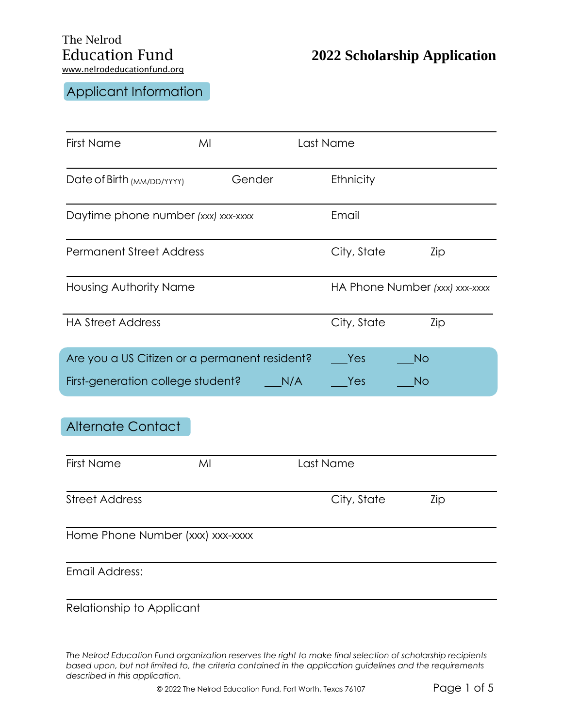# Applicant Information

| <b>First Name</b>                             | MI     | Last Name   |                                |  |  |
|-----------------------------------------------|--------|-------------|--------------------------------|--|--|
| Date of Birth (MM/DD/YYYY)                    | Gender | Ethnicity   |                                |  |  |
| Daytime phone number (xxx) xxx-xxxx           |        | Email       |                                |  |  |
| <b>Permanent Street Address</b>               |        | City, State | Zip                            |  |  |
| <b>Housing Authority Name</b>                 |        |             | HA Phone Number (xxx) xxx-xxxx |  |  |
| <b>HA Street Address</b>                      |        | City, State | Zip                            |  |  |
| Are you a US Citizen or a permanent resident? |        | Yes         | <b>No</b>                      |  |  |
| First-generation college student?             |        | N/A<br>Yes  | No                             |  |  |
| <b>Alternate Contact</b>                      |        |             |                                |  |  |
| <b>First Name</b>                             | MI     | Last Name   |                                |  |  |
| <b>Street Address</b>                         |        | City, State | Zip                            |  |  |
| Home Phone Number (xxx) xxx-xxxx              |        |             |                                |  |  |
| <b>Email Address:</b>                         |        |             |                                |  |  |
| Relationship to Applicant                     |        |             |                                |  |  |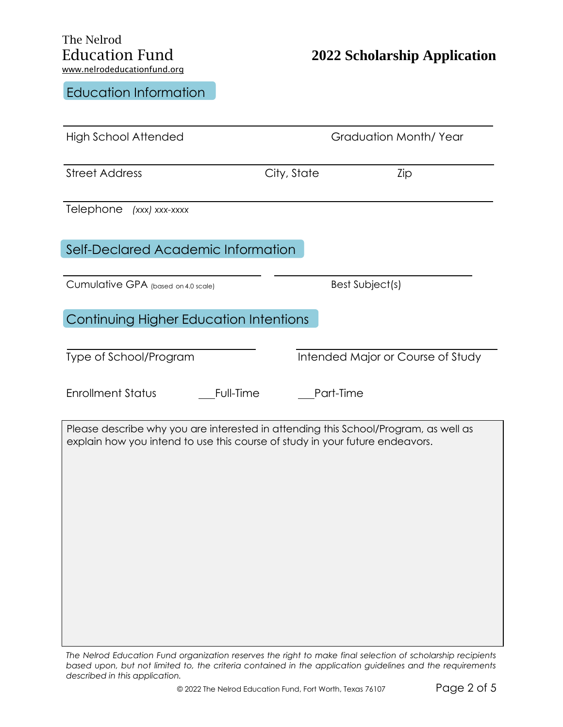### Education Information

| <b>High School Attended</b>                                                                                                                                         |             | Graduation Month/Year             |
|---------------------------------------------------------------------------------------------------------------------------------------------------------------------|-------------|-----------------------------------|
| <b>Street Address</b>                                                                                                                                               | City, State | Zip                               |
| Telephone<br>(xxx) xxx-xxxx                                                                                                                                         |             |                                   |
| Self-Declared Academic Information                                                                                                                                  |             |                                   |
| Cumulative GPA (based on 4.0 scale)                                                                                                                                 |             | Best Subject(s)                   |
| Continuing Higher Education Intentions                                                                                                                              |             |                                   |
| Type of School/Program                                                                                                                                              |             | Intended Major or Course of Study |
| <b>Enrollment Status</b><br>Full-Time                                                                                                                               |             | Part-Time                         |
| Please describe why you are interested in attending this School/Program, as well as<br>explain how you intend to use this course of study in your future endeavors. |             |                                   |
|                                                                                                                                                                     |             |                                   |
|                                                                                                                                                                     |             |                                   |
|                                                                                                                                                                     |             |                                   |
|                                                                                                                                                                     |             |                                   |
|                                                                                                                                                                     |             |                                   |

*The Nelrod Education Fund organization reserves the right to make final selection of scholarship recipients based upon, but not limited to, the criteria contained in the application guidelines and the requirements described in this application.*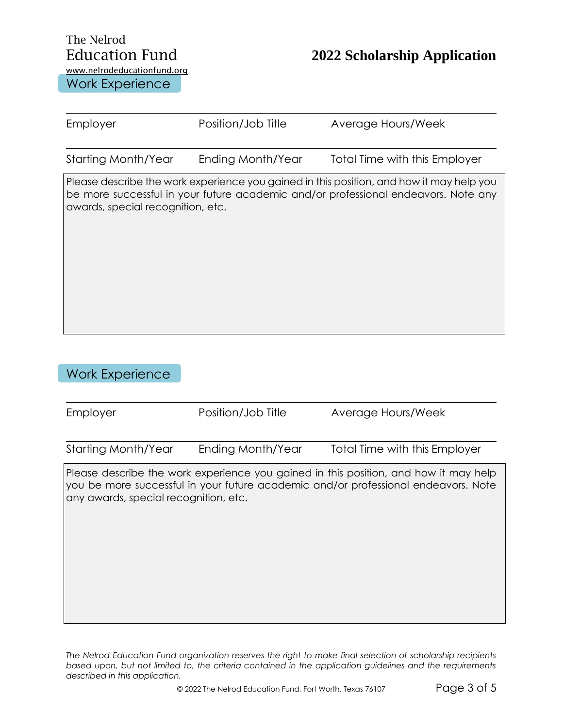# The Nelrod www.nelrodeducationfund.org

# Education Fund **2022 Scholarship Application**

Work Experience

| Employer                          | Position/Job Title | Average Hours/Week                                                                                                                                                             |
|-----------------------------------|--------------------|--------------------------------------------------------------------------------------------------------------------------------------------------------------------------------|
| Starting Month/Year               | Ending Month/Year  | Total Time with this Employer                                                                                                                                                  |
| awards, special recognition, etc. |                    | Please describe the work experience you gained in this position, and how it may help you<br>be more successful in your future academic and/or professional endeavors. Note any |

### Work Experience

| Employer                                                                                                                                                                                                            | Position/Job Title | Average Hours/Week            |
|---------------------------------------------------------------------------------------------------------------------------------------------------------------------------------------------------------------------|--------------------|-------------------------------|
| Starting Month/Year                                                                                                                                                                                                 | Ending Month/Year  | Total Time with this Employer |
| Please describe the work experience you gained in this position, and how it may help<br>you be more successful in your future academic and/or professional endeavors. Note<br>any awards, special recognition, etc. |                    |                               |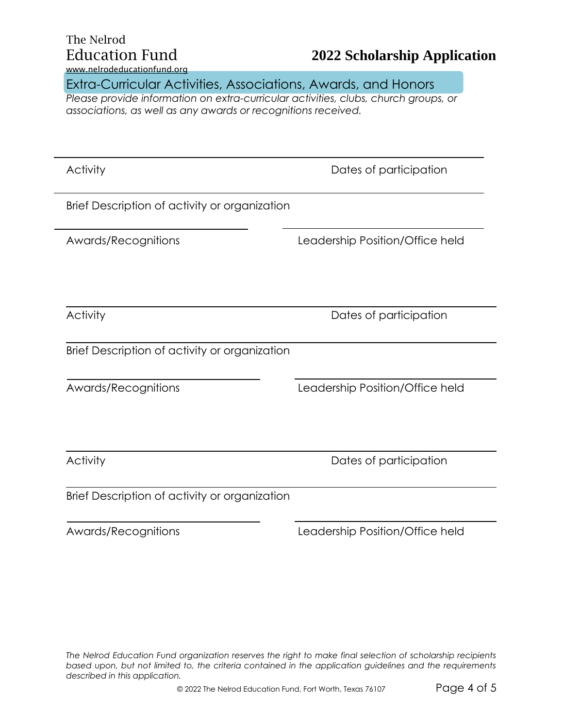| The Nelrod            |  |  |  |
|-----------------------|--|--|--|
| <b>Education Fund</b> |  |  |  |
|                       |  |  |  |

## Education Fund **2022 Scholarship Application**

www.nelrodeducationfund.org

Extra-Curricular Activities, Associations, Awards, and Honors

*Please provide information on extra-curricular activities, clubs, church groups, or associations, as well as any awards or recognitions received.*

Activity **Dates of participation** Brief Description of activity or organization Awards/Recognitions Leadership Position/Office held Activity **Dates of participation** Brief Description of activity or organization Awards/Recognitions Leadership Position/Office held Activity **Dates of participation** Brief Description of activity or organization Awards/Recognitions Leadership Position/Office held